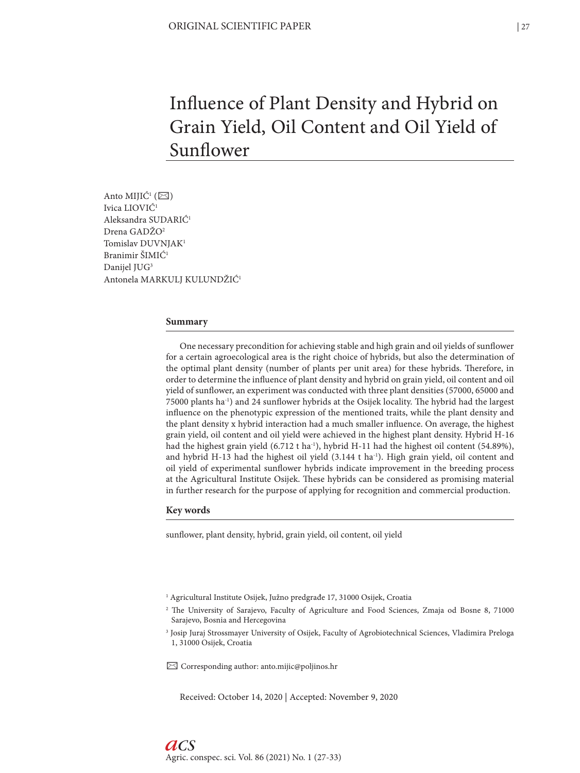# Influence of Plant Density and Hybrid on Grain Yield, Oil Content and Oil Yield of Sunflower

Anto MIJIĆ<sup>1</sup> ( $\boxtimes$ ) Ivica LIOVIĆ1 Aleksandra SUDARIĆ1 Drena GADŽO2 Tomislav DUVNJAK1 Branimir ŠIMIĆ1 Danijel JUG<sup>3</sup> Antonela MARKULJ KULUNDŽIĆ1

#### **Summary**

One necessary precondition for achieving stable and high grain and oil yields of sunflower for a certain agroecological area is the right choice of hybrids, but also the determination of the optimal plant density (number of plants per unit area) for these hybrids. Therefore, in order to determine the influence of plant density and hybrid on grain yield, oil content and oil yield of sunflower, an experiment was conducted with three plant densities (57000, 65000 and 75000 plants ha-1) and 24 sunflower hybrids at the Osijek locality. The hybrid had the largest influence on the phenotypic expression of the mentioned traits, while the plant density and the plant density x hybrid interaction had a much smaller influence. On average, the highest grain yield, oil content and oil yield were achieved in the highest plant density. Hybrid H-16 had the highest grain yield  $(6.712 \text{ t} \text{ ha}^{-1})$ , hybrid H-11 had the highest oil content  $(54.89\%)$ , and hybrid H-13 had the highest oil yield  $(3.144 \text{ t} \text{ ha}^{-1})$ . High grain yield, oil content and oil yield of experimental sunflower hybrids indicate improvement in the breeding process at the Agricultural Institute Osijek. These hybrids can be considered as promising material in further research for the purpose of applying for recognition and commercial production.

#### **Key words**

sunflower, plant density, hybrid, grain yield, oil content, oil yield

✉ Corresponding author: anto.mijic@poljinos.hr

Received: October 14, 2020 | Accepted: November 9, 2020

<sup>&</sup>lt;sup>1</sup> Agricultural Institute Osijek, Južno predgrađe 17, 31000 Osijek, Croatia

<sup>2</sup> The University of Sarajevo, Faculty of Agriculture and Food Sciences, Zmaja od Bosne 8, 71000 Sarajevo, Bosnia and Hercegovina

<sup>3</sup> Josip Juraj Strossmayer University of Osijek, Faculty of Agrobiotechnical Sciences, Vladimira Preloga 1, 31000 Osijek, Croatia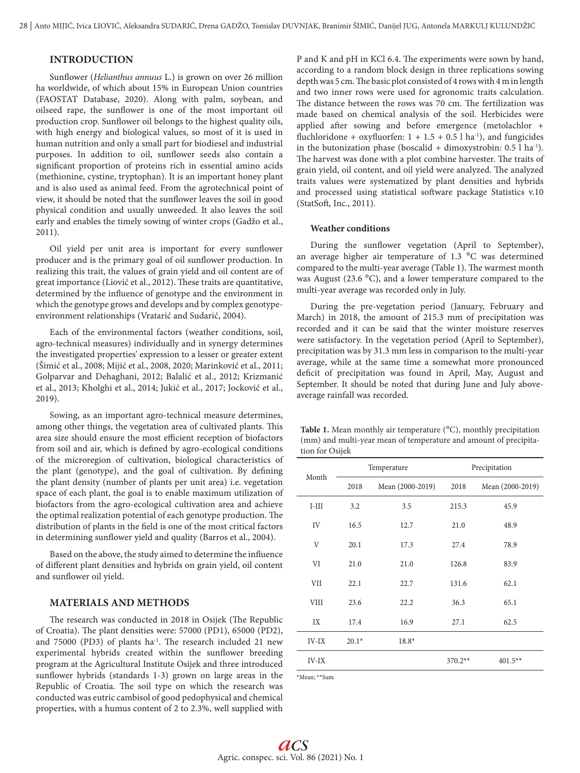## **INTRODUCTION**

Sunflower (*Helianthus annuus* L.) is grown on over 26 million ha worldwide, of which about 15% in European Union countries (FAOSTAT Database, 2020). Along with palm, soybean, and oilseed rape, the sunflower is one of the most important oil production crop. Sunflower oil belongs to the highest quality oils, with high energy and biological values, so most of it is used in human nutrition and only a small part for biodiesel and industrial purposes. In addition to oil, sunflower seeds also contain a significant proportion of proteins rich in essential amino acids (methionine, cystine, tryptophan). It is an important honey plant and is also used as animal feed. From the agrotechnical point of view, it should be noted that the sunflower leaves the soil in good physical condition and usually unweeded. It also leaves the soil early and enables the timely sowing of winter crops (Gadžo et al., 2011).

Oil yield per unit area is important for every sunflower producer and is the primary goal of oil sunflower production. In realizing this trait, the values of grain yield and oil content are of great importance (Liović et al., 2012). These traits are quantitative, determined by the influence of genotype and the environment in which the genotype grows and develops and by complex genotypeenvironment relationships (Vratarić and Sudarić, 2004).

Each of the environmental factors (weather conditions, soil, agro-technical measures) individually and in synergy determines the investigated properties' expression to a lesser or greater extent (Šimić et al., 2008; Mijić et al., 2008, 2020; Marinković et al., 2011; Golparvar and Dehaghani, 2012; Balalić et al., 2012; Krizmanić et al., 2013; Kholghi et al., 2014; Jukić et al., 2017; Jocković et al., 2019).

Sowing, as an important agro-technical measure determines, among other things, the vegetation area of cultivated plants. This area size should ensure the most efficient reception of biofactors from soil and air, which is defined by agro-ecological conditions of the microregion of cultivation, biological characteristics of the plant (genotype), and the goal of cultivation. By defining the plant density (number of plants per unit area) i.e. vegetation space of each plant, the goal is to enable maximum utilization of biofactors from the agro-ecological cultivation area and achieve the optimal realization potential of each genotype production. The distribution of plants in the field is one of the most critical factors in determining sunflower yield and quality (Barros et al., 2004).

Based on the above, the study aimed to determine the influence of different plant densities and hybrids on grain yield, oil content and sunflower oil yield.

## **MATERIALS AND METHODS**

The research was conducted in 2018 in Osijek (The Republic of Croatia). The plant densities were: 57000 (PD1), 65000 (PD2), and 75000 (PD3) of plants ha<sup>-1</sup>. The research included 21 new experimental hybrids created within the sunflower breeding program at the Agricultural Institute Osijek and three introduced sunflower hybrids (standards 1-3) grown on large areas in the Republic of Croatia. The soil type on which the research was conducted was eutric cambisol of good pedophysical and chemical properties, with a humus content of 2 to 2.3%, well supplied with P and K and pH in KCl 6.4. The experiments were sown by hand, according to a random block design in three replications sowing depth was 5 cm. The basic plot consisted of 4 rows with 4 m in length and two inner rows were used for agronomic traits calculation. The distance between the rows was 70 cm. The fertilization was made based on chemical analysis of the soil. Herbicides were applied after sowing and before emergence (metolachlor + fluchloridone + oxyfluorfen:  $1 + 1.5 + 0.5$  l ha<sup>-1</sup>), and fungicides in the butonization phase (boscalid + dimoxystrobin:  $0.5$  l ha<sup>-1</sup>). The harvest was done with a plot combine harvester. The traits of grain yield, oil content, and oil yield were analyzed. The analyzed traits values were systematized by plant densities and hybrids and processed using statistical software package Statistics v.10 (StatSoft, Inc., 2011).

## **Weather conditions**

During the sunflower vegetation (April to September), an average higher air temperature of 1.3 °C was determined compared to the multi-year average (Table 1). The warmest month was August (23.6 °C), and a lower temperature compared to the multi-year average was recorded only in July.

During the pre-vegetation period (January, February and March) in 2018, the amount of 215.3 mm of precipitation was recorded and it can be said that the winter moisture reserves were satisfactory. In the vegetation period (April to September), precipitation was by 31.3 mm less in comparison to the multi-year average, while at the same time a somewhat more pronounced deficit of precipitation was found in April, May, August and September. It should be noted that during June and July aboveaverage rainfall was recorded.

**Table 1.** Mean monthly air temperature (°C), monthly precipitation (mm) and multi-year mean of temperature and amount of precipitation for Osijek

|              |         | Temperature      |           | Precipitation    |
|--------------|---------|------------------|-----------|------------------|
| Month        | 2018    | Mean (2000-2019) | 2018      | Mean (2000-2019) |
| $I-III$      | 3.2     | 3.5              | 215.3     | 45.9             |
| IV           | 16.5    | 12.7             | 21.0      | 48.9             |
| V            | 20.1    | 17.3             | 27.4      | 78.9             |
| VI           | 21.0    | 21.0             | 126.8     | 83.9             |
| VII          | 22.1    | 22.7             | 131.6     | 62.1             |
| <b>VIII</b>  | 23.6    | 22.2             | 36.3      | 65.1             |
| IX           | 17.4    | 16.9             | 27.1      | 62.5             |
| IV-IX        | $20.1*$ | $18.8*$          |           |                  |
| <b>IV-IX</b> |         |                  | $370.2**$ | $401.5**$        |

\*Mean; \*\*Sum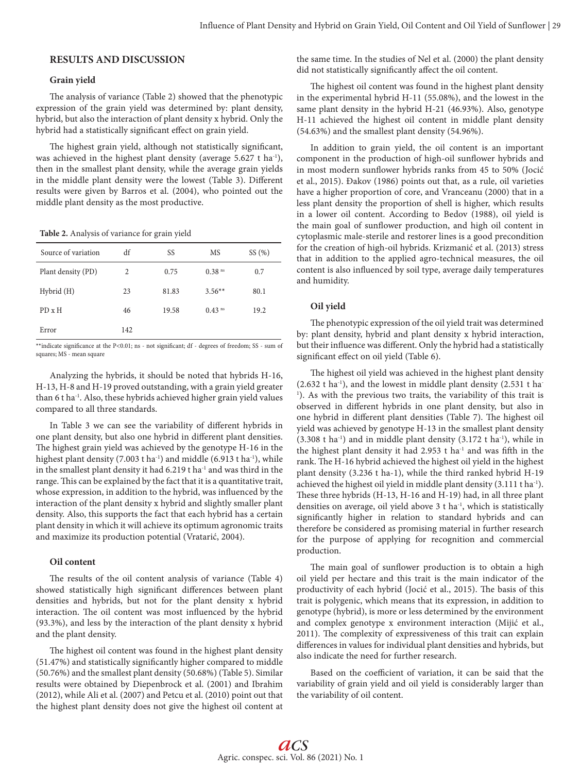# **RESULTS AND DISCUSSION**

#### **Grain yield**

The analysis of variance (Table 2) showed that the phenotypic expression of the grain yield was determined by: plant density, hybrid, but also the interaction of plant density x hybrid. Only the hybrid had a statistically significant effect on grain yield.

The highest grain yield, although not statistically significant, was achieved in the highest plant density (average 5.627 t ha<sup>-1</sup>), then in the smallest plant density, while the average grain yields in the middle plant density were the lowest (Table 3). Different results were given by Barros et al. (2004), who pointed out the middle plant density as the most productive.

**Table 2.** Analysis of variance for grain yield

| Source of variation | df  | SS    | MS                   | SS(%) |
|---------------------|-----|-------|----------------------|-------|
| Plant density (PD)  | 2   | 0.75  | $0.38$ <sup>ns</sup> | 0.7   |
| Hybrid (H)          | 23  | 81.83 | $3.56**$             | 80.1  |
| $PD \times H$       | 46  | 19.58 | $0.43$ <sup>ns</sup> | 19.2  |
| Error               | 142 |       |                      |       |

\*\*indicate significance at the P<0.01; ns - not significant; df - degrees of freedom; SS - sum of squares: MS - mean square

Analyzing the hybrids, it should be noted that hybrids H-16, H-13, H-8 and H-19 proved outstanding, with a grain yield greater than 6 t ha-1. Also, these hybrids achieved higher grain yield values compared to all three standards.

In Table 3 we can see the variability of different hybrids in one plant density, but also one hybrid in different plant densities. The highest grain yield was achieved by the genotype H-16 in the highest plant density (7.003 t ha<sup>-1</sup>) and middle (6.913 t ha<sup>-1</sup>), while in the smallest plant density it had 6.219 t ha<sup>-1</sup> and was third in the range. This can be explained by the fact that it is a quantitative trait, whose expression, in addition to the hybrid, was influenced by the interaction of the plant density x hybrid and slightly smaller plant density. Also, this supports the fact that each hybrid has a certain plant density in which it will achieve its optimum agronomic traits and maximize its production potential (Vratarić, 2004).

#### **Oil content**

The results of the oil content analysis of variance (Table 4) showed statistically high significant differences between plant densities and hybrids, but not for the plant density x hybrid interaction. The oil content was most influenced by the hybrid (93.3%), and less by the interaction of the plant density x hybrid and the plant density.

The highest oil content was found in the highest plant density (51.47%) and statistically significantly higher compared to middle (50.76%) and the smallest plant density (50.68%) (Table 5). Similar results were obtained by Diepenbrock et al. (2001) and Ibrahim (2012), while Ali et al. (2007) and Petcu et al. (2010) point out that the highest plant density does not give the highest oil content at

the same time. In the studies of Nel et al. (2000) the plant density did not statistically significantly affect the oil content.

The highest oil content was found in the highest plant density in the experimental hybrid H-11 (55.08%), and the lowest in the same plant density in the hybrid H-21 (46.93%). Also, genotype H-11 achieved the highest oil content in middle plant density (54.63%) and the smallest plant density (54.96%).

In addition to grain yield, the oil content is an important component in the production of high-oil sunflower hybrids and in most modern sunflower hybrids ranks from 45 to 50% (Jocić et al., 2015). Đakov (1986) points out that, as a rule, oil varieties have a higher proportion of core, and Vranceanu (2000) that in a less plant density the proportion of shell is higher, which results in a lower oil content. According to Bedov (1988), oil yield is the main goal of sunflower production, and high oil content in cytoplasmic male-sterile and restorer lines is a good precondition for the creation of high-oil hybrids. Krizmanić et al. (2013) stress that in addition to the applied agro-technical measures, the oil content is also influenced by soil type, average daily temperatures and humidity.

## **Oil yield**

The phenotypic expression of the oil yield trait was determined by: plant density, hybrid and plant density x hybrid interaction, but their influence was different. Only the hybrid had a statistically significant effect on oil yield (Table 6).

The highest oil yield was achieved in the highest plant density  $(2.632 \text{ t} \text{ ha}^{-1})$ , and the lowest in middle plant density  $(2.531 \text{ t} \text{ ha}^{-1})$ <sup>1</sup>). As with the previous two traits, the variability of this trait is observed in different hybrids in one plant density, but also in one hybrid in different plant densities (Table 7). The highest oil yield was achieved by genotype H-13 in the smallest plant density  $(3.308 \text{ t} \text{ ha}^{-1})$  and in middle plant density  $(3.172 \text{ t} \text{ ha}^{-1})$ , while in the highest plant density it had  $2.953$  t ha<sup>-1</sup> and was fifth in the rank. The H-16 hybrid achieved the highest oil yield in the highest plant density (3.236 t ha-1), while the third ranked hybrid H-19 achieved the highest oil yield in middle plant density (3.111 t ha-1). These three hybrids (H-13, H-16 and H-19) had, in all three plant densities on average, oil yield above 3 t ha<sup>-1</sup>, which is statistically significantly higher in relation to standard hybrids and can therefore be considered as promising material in further research for the purpose of applying for recognition and commercial production.

The main goal of sunflower production is to obtain a high oil yield per hectare and this trait is the main indicator of the productivity of each hybrid (Jocić et al., 2015). The basis of this trait is polygenic, which means that its expression, in addition to genotype (hybrid), is more or less determined by the environment and complex genotype x environment interaction (Mijić et al., 2011). The complexity of expressiveness of this trait can explain differences in values for individual plant densities and hybrids, but also indicate the need for further research.

Based on the coefficient of variation, it can be said that the variability of grain yield and oil yield is considerably larger than the variability of oil content.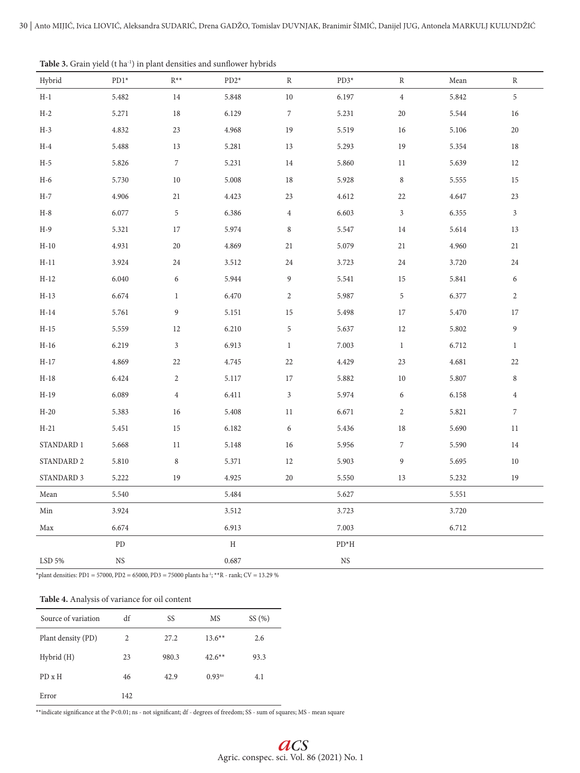|                       | $\mathbf{r}$ |                  | $\overline{ }$ |                  |                  |                  |       |                             |
|-----------------------|--------------|------------------|----------------|------------------|------------------|------------------|-------|-----------------------------|
| Hybrid                | $PD1*$       | $R^{**}$         | $PD2*$         | $\mathbb R$      | $PD3*$           | $\, {\bf R}$     | Mean  | $\, {\bf R}$                |
| $\rm H\text{-}1$      | 5.482        | $14\,$           | 5.848          | $10\,$           | 6.197            | $\,4$            | 5.842 | $\,$ 5 $\,$                 |
| $H-2$                 | 5.271        | $18\,$           | 6.129          | $\boldsymbol{7}$ | 5.231            | $20\,$           | 5.544 | 16                          |
| $H-3$                 | 4.832        | 23               | 4.968          | 19               | 5.519            | 16               | 5.106 | $20\,$                      |
| $H-4$                 | 5.488        | 13               | 5.281          | 13               | 5.293            | 19               | 5.354 | 18                          |
| $H-5$                 | 5.826        | $\boldsymbol{7}$ | 5.231          | 14               | 5.860            | 11               | 5.639 | 12                          |
| $H-6$                 | 5.730        | $10\,$           | 5.008          | 18               | 5.928            | $\,8\,$          | 5.555 | 15                          |
| $H-7$                 | 4.906        | 21               | 4.423          | 23               | 4.612            | 22               | 4.647 | 23                          |
| $H-8$                 | 6.077        | $\sqrt{5}$       | 6.386          | $\overline{4}$   | 6.603            | $\sqrt{3}$       | 6.355 | $\ensuremath{\mathfrak{Z}}$ |
| $H-9$                 | 5.321        | 17               | 5.974          | $\,8\,$          | 5.547            | 14               | 5.614 | 13                          |
| $H-10$                | 4.931        | $20\,$           | 4.869          | 21               | 5.079            | $21\,$           | 4.960 | 21                          |
| $H-11$                | 3.924        | 24               | 3.512          | 24               | 3.723            | $24\,$           | 3.720 | 24                          |
| $H-12$                | 6.040        | 6                | 5.944          | 9                | 5.541            | 15               | 5.841 | $\boldsymbol{6}$            |
| $H-13$                | 6.674        | $\mathbf{1}$     | 6.470          | $\overline{2}$   | 5.987            | $\,$ 5 $\,$      | 6.377 | $\sqrt{2}$                  |
| $H-14$                | 5.761        | 9                | 5.151          | 15               | 5.498            | $17\,$           | 5.470 | 17                          |
| $H-15$                | 5.559        | 12               | 6.210          | $\sqrt{5}$       | 5.637            | 12               | 5.802 | $\boldsymbol{9}$            |
| $\operatorname{H-16}$ | 6.219        | $\sqrt{3}$       | 6.913          | $\mathbf{1}$     | 7.003            | $\mathbf{1}$     | 6.712 | $1\,$                       |
| $H-17$                | 4.869        | 22               | 4.745          | 22               | 4.429            | 23               | 4.681 | 22                          |
| $H-18$                | 6.424        | $\mathbf{2}$     | 5.117          | 17               | 5.882            | $10\,$           | 5.807 | $\,8\,$                     |
| $H-19$                | 6.089        | $\overline{4}$   | 6.411          | $\sqrt{3}$       | 5.974            | 6                | 6.158 | $\overline{4}$              |
| $H-20$                | 5.383        | 16               | 5.408          | 11               | 6.671            | $\sqrt{2}$       | 5.821 | $\boldsymbol{7}$            |
| $H-21$                | 5.451        | 15               | 6.182          | 6                | 5.436            | 18               | 5.690 | $11\,$                      |
| STANDARD 1            | 5.668        | 11               | 5.148          | 16               | 5.956            | $\boldsymbol{7}$ | 5.590 | $14\,$                      |
| STANDARD 2            | 5.810        | $\,8\,$          | 5.371          | 12               | 5.903            | $\boldsymbol{9}$ | 5.695 | $10\,$                      |
| STANDARD 3            | 5.222        | 19               | 4.925          | 20               | 5.550            | 13               | 5.232 | 19                          |
| $\operatorname{Mean}$ | 5.540        |                  | 5.484          |                  | 5.627            |                  | 5.551 |                             |
| Min                   | 3.924        |                  | 3.512          |                  | 3.723            |                  | 3.720 |                             |
| Max                   | 6.674        |                  | 6.913          |                  | 7.003            |                  | 6.712 |                             |
|                       | ${\rm PD}$   |                  | H              |                  | $\mathrm{PD^*H}$ |                  |       |                             |
| LSD 5%                | $_{\rm NS}$  |                  | 0.687          |                  | $_{\rm NS}$      |                  |       |                             |
|                       |              |                  |                |                  |                  |                  |       |                             |

Table 3. Grain yield (t ha<sup>-1</sup>) in plant densities and sunflower hybrids

\*plant densities: PD1 = 57000, PD2 = 65000, PD3 = 75000 plants ha<sup>-1</sup>; \*\*R - rank; CV = 13.29 %

## **Table 4.** Analysis of variance for oil content

| Source of variation | df             | SS    | MS          | SS(%) |
|---------------------|----------------|-------|-------------|-------|
| Plant density (PD)  | $\overline{c}$ | 27.2  | $13.6**$    | 2.6   |
| Hybrid (H)          | 23             | 980.3 | $42.6**$    | 93.3  |
| PD x H              | 46             | 42.9  | $0.93^{ns}$ | 4.1   |
| Error               | 142            |       |             |       |

 $\ast\ast$  indicate significance at the P<0.01; ns - not significant; df - degrees of freedom; SS - sum of squares; MS - mean square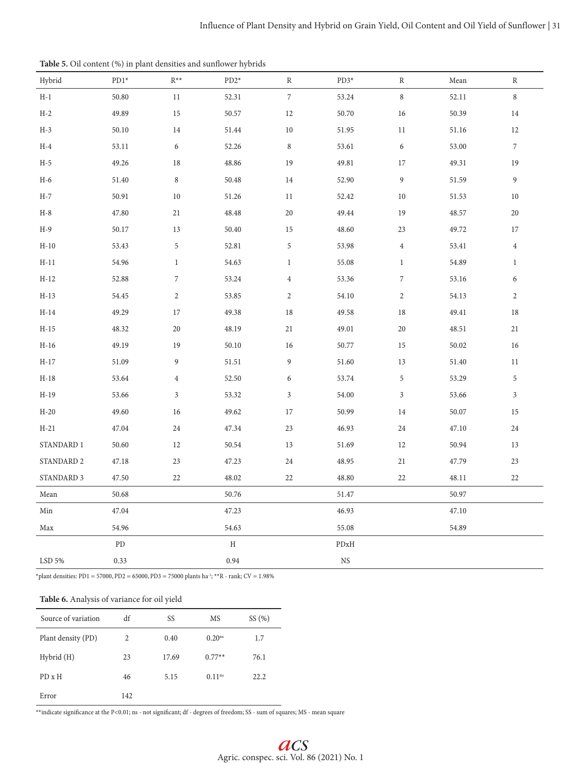| Hybrid     | $PD1*$     | $\mathbb{R}^{\ast\ast}$     | $PD2*$      | $\, {\bf R}$     | $PD3*$                                                                                         | $\, {\bf R}$                | Mean  | R                |
|------------|------------|-----------------------------|-------------|------------------|------------------------------------------------------------------------------------------------|-----------------------------|-------|------------------|
| $H-1$      | 50.80      | 11                          | 52.31       | $\boldsymbol{7}$ | 53.24                                                                                          | $\,8\,$                     | 52.11 | $\,8\,$          |
| $H-2$      | 49.89      | 15                          | 50.57       | 12               | 50.70                                                                                          | 16                          | 50.39 | 14               |
| $H-3$      | 50.10      | 14                          | 51.44       | 10               | 51.95                                                                                          | 11                          | 51.16 | 12               |
| $H-4$      | 53.11      | 6                           | 52.26       | $\,$ 8 $\,$      | 53.61                                                                                          | 6                           | 53.00 | $\boldsymbol{7}$ |
| $H-5$      | 49.26      | 18                          | 48.86       | 19               | 49.81                                                                                          | 17                          | 49.31 | 19               |
| $H-6$      | 51.40      | $\,8\,$                     | 50.48       | 14               | 52.90                                                                                          | $\boldsymbol{9}$            | 51.59 | $\boldsymbol{9}$ |
| $H-7$      | 50.91      | 10                          | 51.26       | 11               | 52.42                                                                                          | $10\,$                      | 51.53 | $10\,$           |
| $H-8$      | 47.80      | 21                          | 48.48       | 20               | 49.44                                                                                          | 19                          | 48.57 | 20               |
| $H-9$      | 50.17      | 13                          | 50.40       | 15               | 48.60                                                                                          | 23                          | 49.72 | 17               |
| $H-10$     | 53.43      | $\sqrt{5}$                  | 52.81       | 5                | 53.98                                                                                          | $\overline{4}$              | 53.41 | $\overline{4}$   |
| $H-11$     | 54.96      | $\mathbf{1}$                | 54.63       | 1                | 55.08                                                                                          | $\mathbf{1}$                | 54.89 | $\mathbf{1}$     |
| $H-12$     | 52.88      | $\boldsymbol{7}$            | 53.24       | $\overline{4}$   | 53.36                                                                                          | $\sqrt{2}$                  | 53.16 | $\boldsymbol{6}$ |
| $H-13$     | 54.45      | $\sqrt{2}$                  | 53.85       | $\mathbf{2}$     | 54.10                                                                                          | $\sqrt{2}$                  | 54.13 | $\sqrt{2}$       |
| $H-14$     | 49.29      | $17\,$                      | 49.38       | 18               | 49.58                                                                                          | $18\,$                      | 49.41 | 18               |
| $H-15$     | 48.32      | $20\,$                      | 48.19       | 21               | 49.01                                                                                          | $20\,$                      | 48.51 | 21               |
| $H-16$     | 49.19      | 19                          | 50.10       | 16               | 50.77                                                                                          | 15                          | 50.02 | 16               |
| $H-17$     | 51.09      | $\overline{9}$              | 51.51       | 9                | 51.60                                                                                          | 13                          | 51.40 | 11               |
| $H-18$     | 53.64      | $\overline{4}$              | 52.50       | 6                | 53.74                                                                                          | $\sqrt{5}$                  | 53.29 | $\sqrt{5}$       |
| $H-19$     | 53.66      | $\ensuremath{\mathfrak{Z}}$ | 53.32       | $\mathfrak{Z}$   | 54.00                                                                                          | $\ensuremath{\mathfrak{Z}}$ | 53.66 | $\sqrt{3}$       |
| $H-20$     | 49.60      | 16                          | 49.62       | 17               | 50.99                                                                                          | 14                          | 50.07 | 15               |
| $H-21$     | 47.04      | 24                          | 47.34       | 23               | 46.93                                                                                          | 24                          | 47.10 | 24               |
| STANDARD 1 | 50.60      | 12                          | 50.54       | 13               | 51.69                                                                                          | 12                          | 50.94 | 13               |
| STANDARD 2 | 47.18      | 23                          | 47.23       | 24               | 48.95                                                                                          | $21\,$                      | 47.79 | 23               |
| STANDARD 3 | 47.50      | 22                          | 48.02       | 22               | 48.80                                                                                          | 22                          | 48.11 | 22               |
| Mean       | 50.68      |                             | 50.76       |                  | 51.47                                                                                          |                             | 50.97 |                  |
| Min        | 47.04      |                             | 47.23       |                  | 46.93                                                                                          |                             | 47.10 |                  |
| Max        | 54.96      |                             | 54.63       |                  | 55.08                                                                                          |                             | 54.89 |                  |
|            | ${\rm PD}$ |                             | $\mathbf H$ |                  | $\ensuremath{\mathrm{P}}\ensuremath{\mathrm{D}}\ensuremath{\mathrm{x}}\ensuremath{\mathrm{H}}$ |                             |       |                  |
| LSD 5%     | 0.33       |                             | 0.94        |                  | $_{\rm NS}$                                                                                    |                             |       |                  |

 $^*$ plant densities: PD1 = 57000, PD2 = 65000, PD3 = 75000 plants ha $^{\text{!}}\text{; **R}$  - rank; CV = 1.98%

# **Table 6.** Analysis of variance for oil yield

| Source of variation | df  | SS    | MS                 | SS(%) |
|---------------------|-----|-------|--------------------|-------|
| Plant density (PD)  | 2   | 0.40  | 0.20 <sup>ns</sup> | 1.7   |
| Hybrid (H)          | 23  | 17.69 | $0.77**$           | 76.1  |
| PD x H              | 46  | 5.15  | 0.11 <sup>ns</sup> | 22.2  |
| Error               | 142 |       |                    |       |

 $\ast\ast$  indicate significance at the P<0.01; ns - not significant; df - degrees of freedom; SS - sum of squares; MS - mean square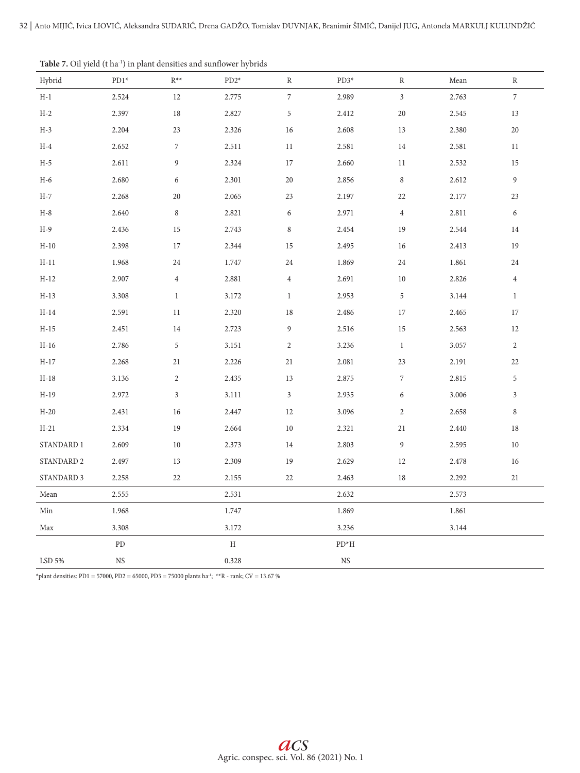|                  | л.          |                  | $\epsilon$  |                  |                  |                  |       |                  |
|------------------|-------------|------------------|-------------|------------------|------------------|------------------|-------|------------------|
| Hybrid           | PD1*        | $R^{**}$         | $PD2*$      | R                | $PD3*$           | ${\bf R}$        | Mean  | $\, {\bf R}$     |
| $\rm H\text{-}1$ | 2.524       | 12               | 2.775       | $\boldsymbol{7}$ | 2.989            | $\mathfrak{Z}$   | 2.763 | $\boldsymbol{7}$ |
| $H-2$            | 2.397       | $18\,$           | 2.827       | $\,$ 5 $\,$      | 2.412            | 20               | 2.545 | 13               |
| $H-3$            | 2.204       | $23\,$           | 2.326       | 16               | 2.608            | 13               | 2.380 | $20\,$           |
| $H-4$            | 2.652       | $\boldsymbol{7}$ | 2.511       | 11               | 2.581            | 14               | 2.581 | 11               |
| $H-5$            | 2.611       | 9                | 2.324       | 17               | 2.660            | 11               | 2.532 | 15               |
| $H-6$            | 2.680       | 6                | 2.301       | 20               | 2.856            | $\,8\,$          | 2.612 | $\boldsymbol{9}$ |
| $H-7$            | 2.268       | 20               | 2.065       | 23               | 2.197            | 22               | 2.177 | 23               |
| $H-8$            | 2.640       | $\,8\,$          | 2.821       | 6                | 2.971            | $\,4$            | 2.811 | $\boldsymbol{6}$ |
| $H-9$            | 2.436       | 15               | 2.743       | $\,$ 8 $\,$      | 2.454            | 19               | 2.544 | 14               |
| $H-10$           | 2.398       | 17               | 2.344       | 15               | 2.495            | 16               | 2.413 | 19               |
| $H-11$           | 1.968       | 24               | 1.747       | 24               | 1.869            | 24               | 1.861 | 24               |
| $H-12$           | 2.907       | $\overline{4}$   | 2.881       | $\overline{4}$   | 2.691            | 10               | 2.826 | $\overline{4}$   |
| $H-13$           | 3.308       | $\mathbf{1}$     | 3.172       | $\mathbf{1}$     | 2.953            | 5                | 3.144 | $\mathbf{1}$     |
| $H-14$           | 2.591       | 11               | 2.320       | 18               | 2.486            | 17               | 2.465 | 17               |
| $H-15$           | 2.451       | 14               | 2.723       | $\overline{9}$   | 2.516            | 15               | 2.563 | 12               |
| $H-16$           | 2.786       | 5                | 3.151       | $\overline{2}$   | 3.236            | $\mathbf{1}$     | 3.057 | $\overline{2}$   |
| $H-17$           | 2.268       | 21               | 2.226       | 21               | 2.081            | 23               | 2.191 | 22               |
| $H-18$           | 3.136       | $\overline{c}$   | 2.435       | 13               | 2.875            | $\sqrt{2}$       | 2.815 | $\sqrt{5}$       |
| $H-19$           | 2.972       | $\mathfrak{Z}$   | 3.111       | $\mathfrak{Z}$   | 2.935            | 6                | 3.006 | $\mathfrak{Z}$   |
| $H-20$           | 2.431       | 16               | 2.447       | 12               | 3.096            | $\sqrt{2}$       | 2.658 | $\,8\,$          |
| $H-21$           | 2.334       | 19               | 2.664       | $10\,$           | 2.321            | 21               | 2.440 | 18               |
| STANDARD 1       | 2.609       | $10\,$           | 2.373       | 14               | 2.803            | $\boldsymbol{9}$ | 2.595 | 10               |
| STANDARD 2       | 2.497       | 13               | 2.309       | 19               | 2.629            | $12\,$           | 2.478 | 16               |
| STANDARD 3       | 2.258       | 22               | 2.155       | 22               | 2.463            | 18               | 2.292 | 21               |
| Mean             | 2.555       |                  | 2.531       |                  | 2.632            |                  | 2.573 |                  |
| Min              | 1.968       |                  | 1.747       |                  | 1.869            |                  | 1.861 |                  |
| Max              | 3.308       |                  | 3.172       |                  | 3.236            |                  | 3.144 |                  |
|                  | ${\rm PD}$  |                  | $\mathbf H$ |                  | $\mathrm{PD^*H}$ |                  |       |                  |
| LSD 5%           | $_{\rm NS}$ |                  | 0.328       |                  | $_{\rm NS}$      |                  |       |                  |
|                  |             |                  |             |                  |                  |                  |       |                  |

Table 7. Oil yield (t ha<sup>-1</sup>) in plant densities and sunflower hybrids

 $^*$ plant densities: PD1 = 57000, PD2 = 65000, PD3 = 75000 plants ha $^{\text{i}}$ ; \*\*R - rank; CV = 13.67 %